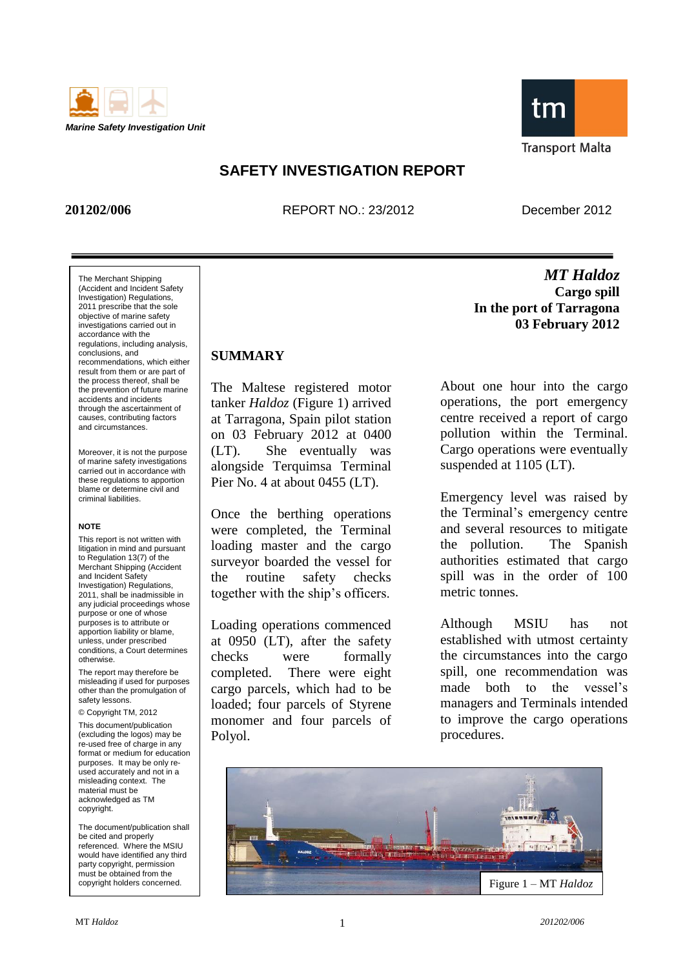



## **SAFETY INVESTIGATION REPORT**

**201202/006** REPORT NO.: 23/2012 December 2012

*MT Haldoz*

The Merchant Shipping (Accident and Incident Safety Investigation) Regulations, 2011 prescribe that the sole objective of marine safety investigations carried out in accordance with the regulations, including analysis, conclusions, and recommendations, which either result from them or are part of the process thereof, shall be the prevention of future marine accidents and incidents through the ascertainment of causes, contributing factors and circumstances.

Moreover, it is not the purpose of marine safety investigations carried out in accordance with these regulations to apportion blame or determine civil and criminal liabilities.

#### **NOTE**

This report is not written with litigation in mind and pursuant to Regulation 13(7) of the Merchant Shipping (Accident and Incident Safety Investigation) Regulations, 2011, shall be inadmissible in any judicial proceedings whose purpose or one of whose purposes is to attribute or apportion liability or blame, unless, under prescribed conditions, a Court determines otherwise.

The report may therefore be misleading if used for purposes other than the promulgation of safety lessons.

© Copyright TM, 2012

This document/publication (excluding the logos) may be re-used free of charge in any format or medium for education purposes. It may be only reused accurately and not in a misleading context. The material must be acknowledged as TM copyright.

The document/publication shall be cited and properly referenced. Where the MSIU would have identified any third party copyright, permission must be obtained from the copyright holders concerned.

## **SUMMARY**

The Maltese registered motor tanker *Haldoz* (Figure 1) arrived at Tarragona, Spain pilot station on 03 February 2012 at 0400 (LT). She eventually was alongside Terquimsa Terminal Pier No. 4 at about 0455 (LT).

Once the berthing operations were completed, the Terminal loading master and the cargo surveyor boarded the vessel for the routine safety checks together with the ship"s officers.

Loading operations commenced at 0950 (LT), after the safety checks were formally completed. There were eight cargo parcels, which had to be loaded; four parcels of Styrene monomer and four parcels of Polyol.

**Cargo spill In the port of Tarragona 03 February 2012**

About one hour into the cargo operations, the port emergency centre received a report of cargo pollution within the Terminal. Cargo operations were eventually suspended at 1105 (LT).

Emergency level was raised by the Terminal"s emergency centre and several resources to mitigate the pollution. The Spanish authorities estimated that cargo spill was in the order of 100 metric tonnes.

Although MSIU has not established with utmost certainty the circumstances into the cargo spill, one recommendation was made both to the vessel's managers and Terminals intended to improve the cargo operations procedures.

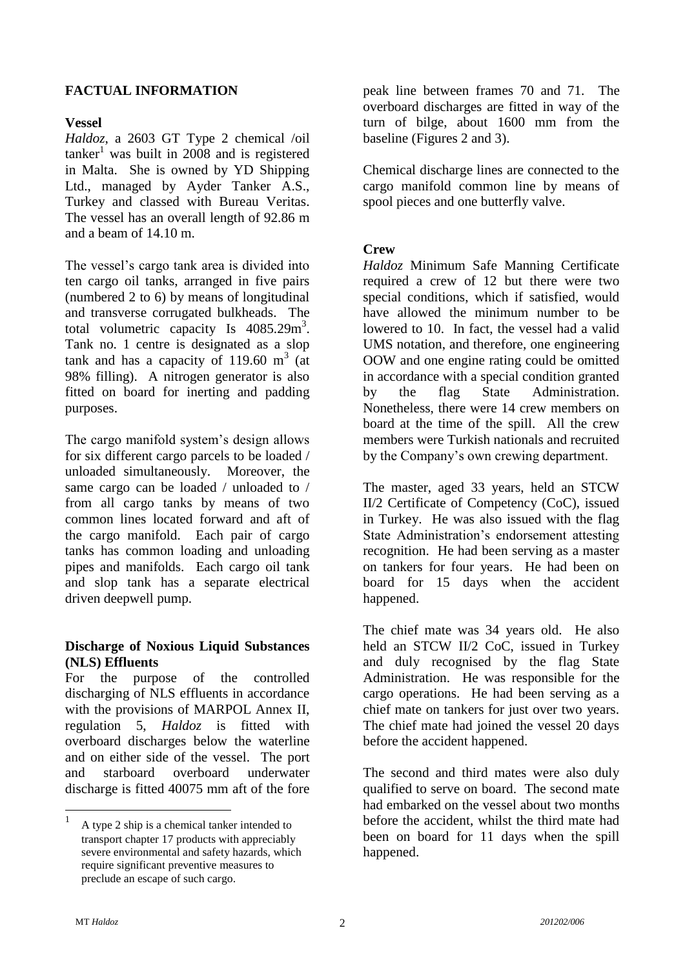#### **FACTUAL INFORMATION**

#### **Vessel**

*Haldoz*, a 2603 GT Type 2 chemical /oil  $tan \text{ker}^1$  was built in 2008 and is registered in Malta. She is owned by YD Shipping Ltd., managed by Ayder Tanker A.S., Turkey and classed with Bureau Veritas. The vessel has an overall length of 92.86 m and a beam of 14.10 m.

The vessel"s cargo tank area is divided into ten cargo oil tanks, arranged in five pairs (numbered 2 to 6) by means of longitudinal and transverse corrugated bulkheads. The total volumetric capacity Is  $4085.29 \text{m}^3$ . Tank no. 1 centre is designated as a slop tank and has a capacity of 119.60  $m<sup>3</sup>$  (at 98% filling). A nitrogen generator is also fitted on board for inerting and padding purposes.

The cargo manifold system's design allows for six different cargo parcels to be loaded / unloaded simultaneously. Moreover, the same cargo can be loaded / unloaded to / from all cargo tanks by means of two common lines located forward and aft of the cargo manifold. Each pair of cargo tanks has common loading and unloading pipes and manifolds. Each cargo oil tank and slop tank has a separate electrical driven deepwell pump.

#### **Discharge of Noxious Liquid Substances (NLS) Effluents**

For the purpose of the controlled discharging of NLS effluents in accordance with the provisions of MARPOL Annex II, regulation 5, *Haldoz* is fitted with overboard discharges below the waterline and on either side of the vessel. The port and starboard overboard underwater discharge is fitted 40075 mm aft of the fore peak line between frames 70 and 71. The overboard discharges are fitted in way of the turn of bilge, about 1600 mm from the baseline (Figures 2 and 3).

Chemical discharge lines are connected to the cargo manifold common line by means of spool pieces and one butterfly valve.

#### **Crew**

*Haldoz* Minimum Safe Manning Certificate required a crew of 12 but there were two special conditions, which if satisfied, would have allowed the minimum number to be lowered to 10. In fact, the vessel had a valid UMS notation, and therefore, one engineering OOW and one engine rating could be omitted in accordance with a special condition granted by the flag State Administration. Nonetheless, there were 14 crew members on board at the time of the spill. All the crew members were Turkish nationals and recruited by the Company"s own crewing department.

The master, aged 33 years, held an STCW II/2 Certificate of Competency (CoC), issued in Turkey. He was also issued with the flag State Administration"s endorsement attesting recognition. He had been serving as a master on tankers for four years. He had been on board for 15 days when the accident happened.

The chief mate was 34 years old. He also held an STCW II/2 CoC, issued in Turkey and duly recognised by the flag State Administration. He was responsible for the cargo operations. He had been serving as a chief mate on tankers for just over two years. The chief mate had joined the vessel 20 days before the accident happened.

The second and third mates were also duly qualified to serve on board. The second mate had embarked on the vessel about two months before the accident, whilst the third mate had been on board for 11 days when the spill happened.

<u>.</u>

<sup>1</sup> A type 2 ship is a chemical tanker intended to transport chapter 17 products with appreciably severe environmental and safety hazards, which require significant preventive measures to preclude an escape of such cargo.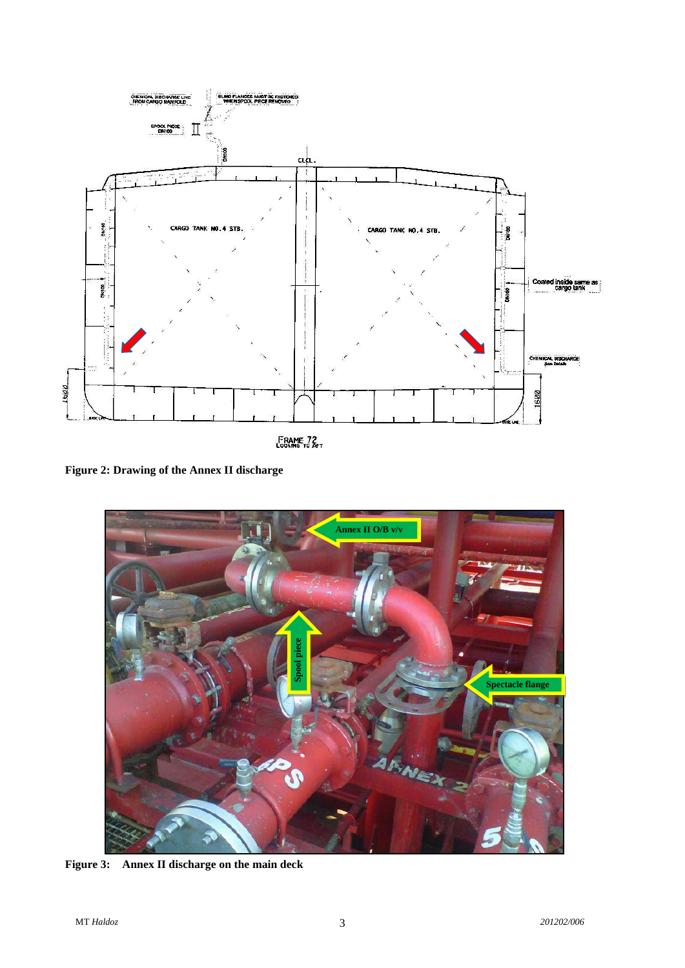

FRAME 72

**Figure 2: Drawing of the Annex II discharge**



**Figure 3: Annex II discharge on the main deck**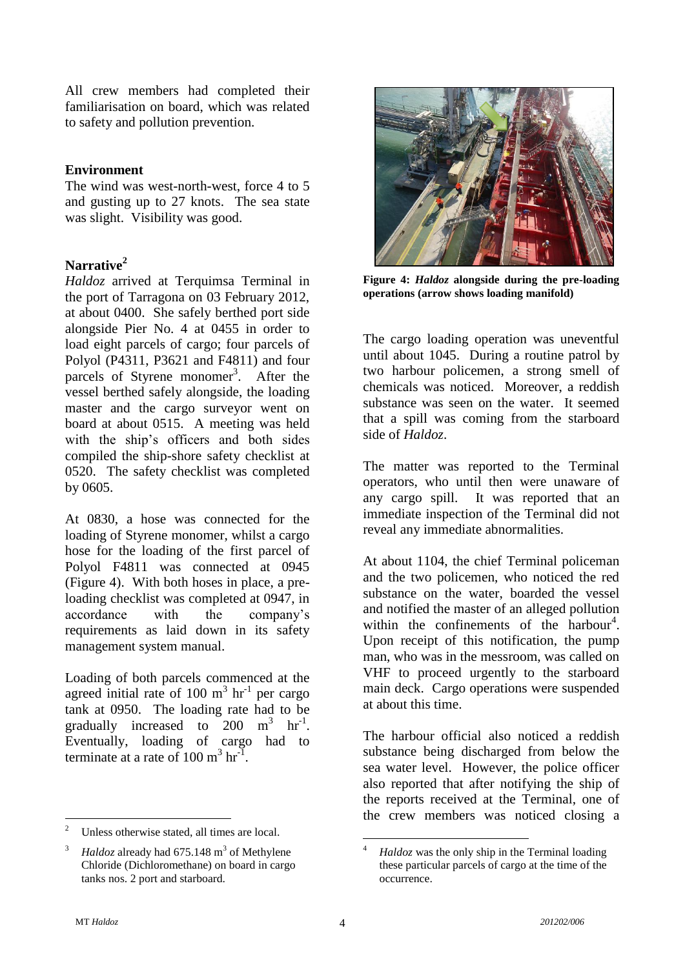All crew members had completed their familiarisation on board, which was related to safety and pollution prevention.

#### **Environment**

The wind was west-north-west, force 4 to 5 and gusting up to 27 knots. The sea state was slight. Visibility was good.

#### **Narrative<sup>2</sup>**

*Haldoz* arrived at Terquimsa Terminal in the port of Tarragona on 03 February 2012, at about 0400. She safely berthed port side alongside Pier No. 4 at 0455 in order to load eight parcels of cargo; four parcels of Polyol (P4311, P3621 and F4811) and four parcels of Styrene monomer<sup>3</sup>. After the vessel berthed safely alongside, the loading master and the cargo surveyor went on board at about 0515. A meeting was held with the ship's officers and both sides compiled the ship-shore safety checklist at 0520. The safety checklist was completed by 0605.

At 0830, a hose was connected for the loading of Styrene monomer, whilst a cargo hose for the loading of the first parcel of Polyol F4811 was connected at 0945 (Figure 4). With both hoses in place, a preloading checklist was completed at 0947, in accordance with the company"s requirements as laid down in its safety management system manual.

Loading of both parcels commenced at the agreed initial rate of 100  $m<sup>3</sup>$  hr<sup>-1</sup> per cargo tank at 0950. The loading rate had to be gradually increased to  $200 \text{ m}^3 \text{ hr}^{-1}$ . Eventually, loading of cargo had to terminate at a rate of  $100 \text{ m}^3 \text{ hr}^1$ .



**Figure 4:** *Haldoz* **alongside during the pre-loading operations (arrow shows loading manifold)**

The cargo loading operation was uneventful until about 1045. During a routine patrol by two harbour policemen, a strong smell of chemicals was noticed. Moreover, a reddish substance was seen on the water. It seemed that a spill was coming from the starboard side of *Haldoz*.

The matter was reported to the Terminal operators, who until then were unaware of any cargo spill. It was reported that an immediate inspection of the Terminal did not reveal any immediate abnormalities.

At about 1104, the chief Terminal policeman and the two policemen, who noticed the red substance on the water, boarded the vessel and notified the master of an alleged pollution within the confinements of the harbour<sup>4</sup>. Upon receipt of this notification, the pump man, who was in the messroom, was called on VHF to proceed urgently to the starboard main deck. Cargo operations were suspended at about this time.

The harbour official also noticed a reddish substance being discharged from below the sea water level. However, the police officer also reported that after notifying the ship of the reports received at the Terminal, one of the crew members was noticed closing a

 $\overline{c}$ Unless otherwise stated, all times are local.

<sup>&</sup>lt;sup>3</sup> *Haldoz* already had  $675.148 \text{ m}^3$  of Methylene Chloride (Dichloromethane) on board in cargo tanks nos. 2 port and starboard.

<sup>&</sup>lt;u>.</u> <sup>4</sup> *Haldoz* was the only ship in the Terminal loading these particular parcels of cargo at the time of the occurrence.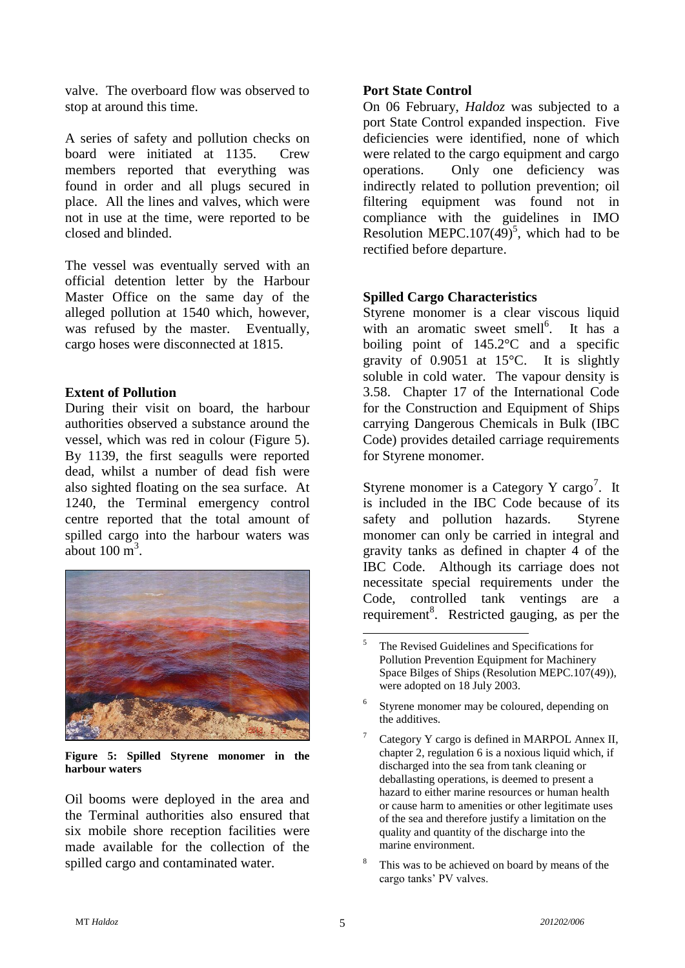valve. The overboard flow was observed to stop at around this time.

A series of safety and pollution checks on board were initiated at 1135. Crew members reported that everything was found in order and all plugs secured in place. All the lines and valves, which were not in use at the time, were reported to be closed and blinded.

The vessel was eventually served with an official detention letter by the Harbour Master Office on the same day of the alleged pollution at 1540 which, however, was refused by the master. Eventually, cargo hoses were disconnected at 1815.

#### **Extent of Pollution**

During their visit on board, the harbour authorities observed a substance around the vessel, which was red in colour (Figure 5). By 1139, the first seagulls were reported dead, whilst a number of dead fish were also sighted floating on the sea surface. At 1240, the Terminal emergency control centre reported that the total amount of spilled cargo into the harbour waters was about  $100 \text{ m}^3$ .



**Figure 5: Spilled Styrene monomer in the harbour waters**

Oil booms were deployed in the area and the Terminal authorities also ensured that six mobile shore reception facilities were made available for the collection of the spilled cargo and contaminated water.

#### **Port State Control**

On 06 February, *Haldoz* was subjected to a port State Control expanded inspection. Five deficiencies were identified, none of which were related to the cargo equipment and cargo operations. Only one deficiency was indirectly related to pollution prevention; oil filtering equipment was found not in compliance with the guidelines in IMO Resolution MEPC.107 $(49)^5$ , which had to be rectified before departure.

#### **Spilled Cargo Characteristics**

Styrene monomer is a clear viscous liquid with an aromatic sweet smell<sup>6</sup>. It has a boiling point of 145.2°C and a specific gravity of 0.9051 at 15°C. It is slightly soluble in cold water. The vapour density is 3.58. Chapter 17 of the International Code for the Construction and Equipment of Ships carrying Dangerous Chemicals in Bulk (IBC Code) provides detailed carriage requirements for Styrene monomer.

Styrene monomer is a Category Y cargo<sup>7</sup>. It is included in the IBC Code because of its safety and pollution hazards. Styrene monomer can only be carried in integral and gravity tanks as defined in chapter 4 of the IBC Code. Although its carriage does not necessitate special requirements under the Code, controlled tank ventings are a requirement<sup>8</sup>. Restricted gauging, as per the

<sup>1</sup> <sup>5</sup> The Revised Guidelines and Specifications for Pollution Prevention Equipment for Machinery Space Bilges of Ships (Resolution MEPC.107(49)), were adopted on 18 July 2003.

<sup>6</sup> Styrene monomer may be coloured, depending on the additives.

Category Y cargo is defined in MARPOL Annex II, chapter 2, regulation 6 is a noxious liquid which, if discharged into the sea from tank cleaning or deballasting operations, is deemed to present a hazard to either marine resources or human health or cause harm to amenities or other legitimate uses of the sea and therefore justify a limitation on the quality and quantity of the discharge into the marine environment.

This was to be achieved on board by means of the cargo tanks" PV valves.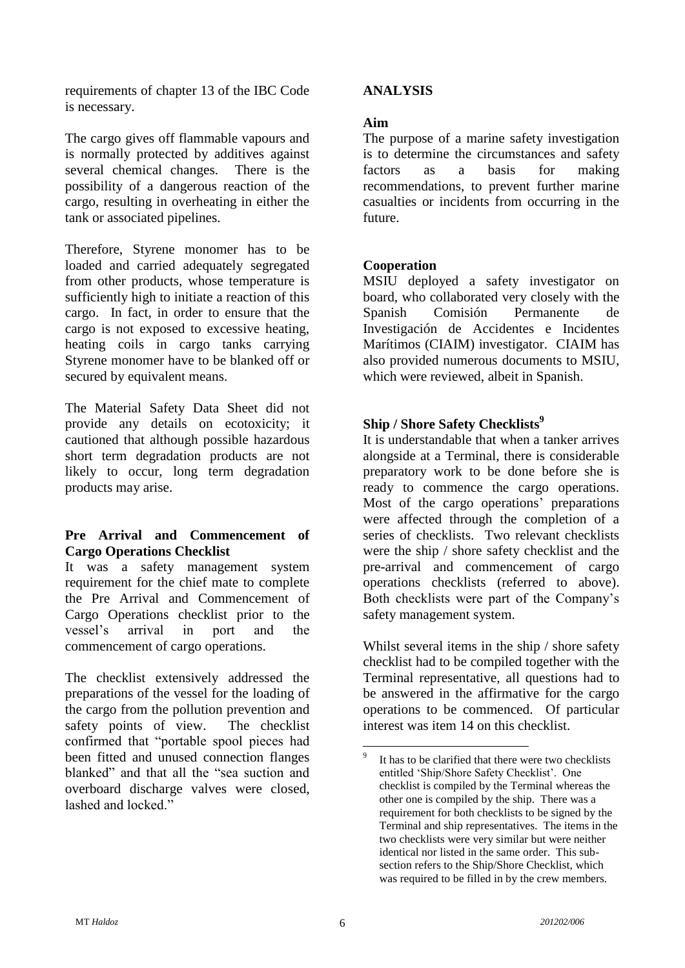requirements of chapter 13 of the IBC Code is necessary.

The cargo gives off flammable vapours and is normally protected by additives against several chemical changes. There is the possibility of a dangerous reaction of the cargo, resulting in overheating in either the tank or associated pipelines.

Therefore, Styrene monomer has to be loaded and carried adequately segregated from other products, whose temperature is sufficiently high to initiate a reaction of this cargo. In fact, in order to ensure that the cargo is not exposed to excessive heating, heating coils in cargo tanks carrying Styrene monomer have to be blanked off or secured by equivalent means.

The Material Safety Data Sheet did not provide any details on ecotoxicity; it cautioned that although possible hazardous short term degradation products are not likely to occur, long term degradation products may arise.

#### **Pre Arrival and Commencement of Cargo Operations Checklist**

It was a safety management system requirement for the chief mate to complete the Pre Arrival and Commencement of Cargo Operations checklist prior to the vessel"s arrival in port and the commencement of cargo operations.

The checklist extensively addressed the preparations of the vessel for the loading of the cargo from the pollution prevention and safety points of view. The checklist confirmed that "portable spool pieces had been fitted and unused connection flanges blanked" and that all the "sea suction and overboard discharge valves were closed, lashed and locked."

#### **ANALYSIS**

#### **Aim**

The purpose of a marine safety investigation is to determine the circumstances and safety factors as a basis for making recommendations, to prevent further marine casualties or incidents from occurring in the future.

#### **Cooperation**

MSIU deployed a safety investigator on board, who collaborated very closely with the Spanish Comisión Permanente de Investigación de Accidentes e Incidentes Marítimos (CIAIM) investigator. CIAIM has also provided numerous documents to MSIU, which were reviewed, albeit in Spanish.

## **Ship / Shore Safety Checklists 9**

It is understandable that when a tanker arrives alongside at a Terminal, there is considerable preparatory work to be done before she is ready to commence the cargo operations. Most of the cargo operations' preparations were affected through the completion of a series of checklists. Two relevant checklists were the ship / shore safety checklist and the pre-arrival and commencement of cargo operations checklists (referred to above). Both checklists were part of the Company"s safety management system.

Whilst several items in the ship / shore safety checklist had to be compiled together with the Terminal representative, all questions had to be answered in the affirmative for the cargo operations to be commenced. Of particular interest was item 14 on this checklist.

1

<sup>9</sup> It has to be clarified that there were two checklists entitled 'Ship/Shore Safety Checklist'. One checklist is compiled by the Terminal whereas the other one is compiled by the ship. There was a requirement for both checklists to be signed by the Terminal and ship representatives. The items in the two checklists were very similar but were neither identical nor listed in the same order. This subsection refers to the Ship/Shore Checklist, which was required to be filled in by the crew members.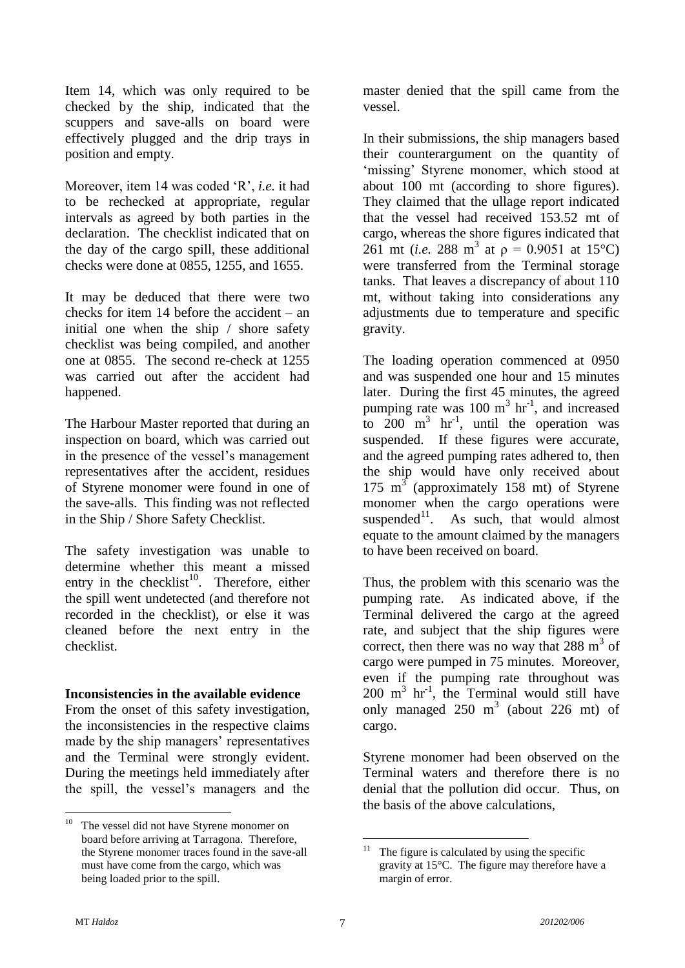Item 14, which was only required to be checked by the ship, indicated that the scuppers and save-alls on board were effectively plugged and the drip trays in position and empty.

Moreover, item 14 was coded "R", *i.e.* it had to be rechecked at appropriate, regular intervals as agreed by both parties in the declaration. The checklist indicated that on the day of the cargo spill, these additional checks were done at 0855, 1255, and 1655.

It may be deduced that there were two checks for item 14 before the accident – an initial one when the ship / shore safety checklist was being compiled, and another one at 0855. The second re-check at 1255 was carried out after the accident had happened.

The Harbour Master reported that during an inspection on board, which was carried out in the presence of the vessel's management representatives after the accident, residues of Styrene monomer were found in one of the save-alls. This finding was not reflected in the Ship / Shore Safety Checklist.

The safety investigation was unable to determine whether this meant a missed entry in the checklist<sup>10</sup>. Therefore, either the spill went undetected (and therefore not recorded in the checklist), or else it was cleaned before the next entry in the checklist.

#### **Inconsistencies in the available evidence**

From the onset of this safety investigation, the inconsistencies in the respective claims made by the ship managers' representatives and the Terminal were strongly evident. During the meetings held immediately after the spill, the vessel"s managers and the master denied that the spill came from the vessel.

In their submissions, the ship managers based their counterargument on the quantity of 'missing' Styrene monomer, which stood at about 100 mt (according to shore figures). They claimed that the ullage report indicated that the vessel had received 153.52 mt of cargo, whereas the shore figures indicated that 261 mt (*i.e.* 288 m<sup>3</sup> at  $p = 0.9051$  at 15°C) were transferred from the Terminal storage tanks. That leaves a discrepancy of about 110 mt, without taking into considerations any adjustments due to temperature and specific gravity.

The loading operation commenced at 0950 and was suspended one hour and 15 minutes later. During the first 45 minutes, the agreed pumping rate was  $100 \text{ m}^3 \text{ hr}^{-1}$ , and increased to  $200 \text{ m}^3$  hr<sup>-1</sup>, until the operation was suspended. If these figures were accurate, and the agreed pumping rates adhered to, then the ship would have only received about 175  $m<sup>3</sup>$  (approximately 158 mt) of Styrene monomer when the cargo operations were suspended $11$ . As such, that would almost equate to the amount claimed by the managers to have been received on board.

Thus, the problem with this scenario was the pumping rate. As indicated above, if the Terminal delivered the cargo at the agreed rate, and subject that the ship figures were correct, then there was no way that  $288 \text{ m}^3$  of cargo were pumped in 75 minutes. Moreover, even if the pumping rate throughout was  $200 \text{ m}^3$  hr<sup>-1</sup>, the Terminal would still have only managed  $250 \text{ m}^3$  (about  $226 \text{ mt}$ ) of cargo.

Styrene monomer had been observed on the Terminal waters and therefore there is no denial that the pollution did occur. Thus, on the basis of the above calculations,

<u>.</u>

<sup>&</sup>lt;sup>10</sup> The vessel did not have Styrene monomer on board before arriving at Tarragona. Therefore, the Styrene monomer traces found in the save-all must have come from the cargo, which was being loaded prior to the spill.

<sup>&</sup>lt;u>.</u> The figure is calculated by using the specific gravity at 15°C. The figure may therefore have a margin of error.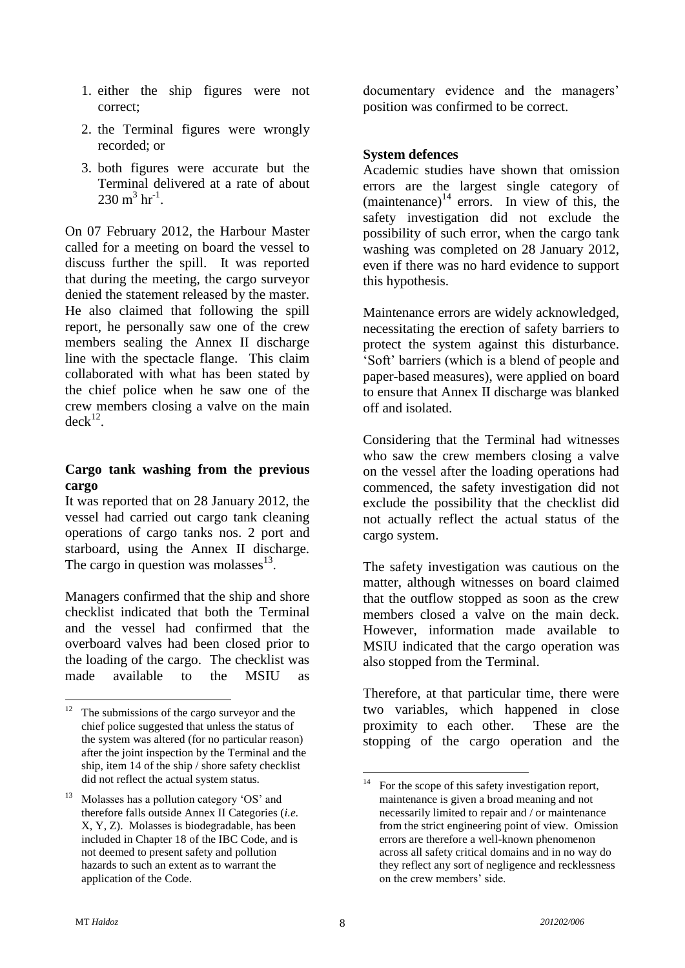- 1. either the ship figures were not correct;
- 2. the Terminal figures were wrongly recorded; or
- 3. both figures were accurate but the Terminal delivered at a rate of about  $230 \text{ m}^3 \text{ hr}^{-1}$ .

On 07 February 2012, the Harbour Master called for a meeting on board the vessel to discuss further the spill. It was reported that during the meeting, the cargo surveyor denied the statement released by the master. He also claimed that following the spill report, he personally saw one of the crew members sealing the Annex II discharge line with the spectacle flange. This claim collaborated with what has been stated by the chief police when he saw one of the crew members closing a valve on the main  $deck<sup>12</sup>$ .

#### **Cargo tank washing from the previous cargo**

It was reported that on 28 January 2012, the vessel had carried out cargo tank cleaning operations of cargo tanks nos. 2 port and starboard, using the Annex II discharge. The cargo in question was molasses $^{13}$ .

Managers confirmed that the ship and shore checklist indicated that both the Terminal and the vessel had confirmed that the overboard valves had been closed prior to the loading of the cargo. The checklist was made available to the MSIU as

documentary evidence and the managers' position was confirmed to be correct.

#### **System defences**

Academic studies have shown that omission errors are the largest single category of (maintenance) $14$  errors. In view of this, the safety investigation did not exclude the possibility of such error, when the cargo tank washing was completed on 28 January 2012, even if there was no hard evidence to support this hypothesis.

Maintenance errors are widely acknowledged, necessitating the erection of safety barriers to protect the system against this disturbance. "Soft" barriers (which is a blend of people and paper-based measures), were applied on board to ensure that Annex II discharge was blanked off and isolated.

Considering that the Terminal had witnesses who saw the crew members closing a valve on the vessel after the loading operations had commenced, the safety investigation did not exclude the possibility that the checklist did not actually reflect the actual status of the cargo system.

The safety investigation was cautious on the matter, although witnesses on board claimed that the outflow stopped as soon as the crew members closed a valve on the main deck. However, information made available to MSIU indicated that the cargo operation was also stopped from the Terminal.

Therefore, at that particular time, there were two variables, which happened in close proximity to each other. These are the stopping of the cargo operation and the

<sup>12</sup> The submissions of the cargo surveyor and the chief police suggested that unless the status of the system was altered (for no particular reason) after the joint inspection by the Terminal and the ship, item 14 of the ship / shore safety checklist did not reflect the actual system status.

Molasses has a pollution category 'OS' and therefore falls outside Annex II Categories (*i.e.* X, Y, Z). Molasses is biodegradable, has been included in Chapter 18 of the IBC Code, and is not deemed to present safety and pollution hazards to such an extent as to warrant the application of the Code.

 $14$ For the scope of this safety investigation report, maintenance is given a broad meaning and not necessarily limited to repair and / or maintenance from the strict engineering point of view. Omission errors are therefore a well-known phenomenon across all safety critical domains and in no way do they reflect any sort of negligence and recklessness on the crew members" side.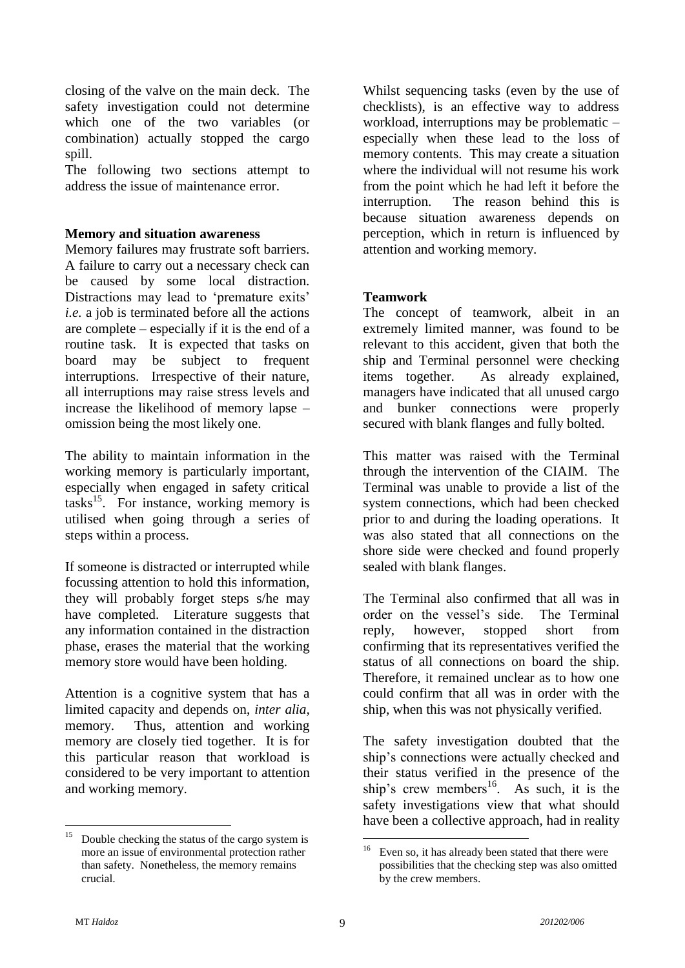closing of the valve on the main deck. The safety investigation could not determine which one of the two variables (or combination) actually stopped the cargo spill.

The following two sections attempt to address the issue of maintenance error.

#### **Memory and situation awareness**

Memory failures may frustrate soft barriers. A failure to carry out a necessary check can be caused by some local distraction. Distractions may lead to 'premature exits' *i.e.* a job is terminated before all the actions are complete – especially if it is the end of a routine task. It is expected that tasks on board may be subject to frequent interruptions. Irrespective of their nature, all interruptions may raise stress levels and increase the likelihood of memory lapse – omission being the most likely one.

The ability to maintain information in the working memory is particularly important, especially when engaged in safety critical tasks<sup>15</sup> . For instance, working memory is utilised when going through a series of steps within a process.

If someone is distracted or interrupted while focussing attention to hold this information, they will probably forget steps s/he may have completed. Literature suggests that any information contained in the distraction phase, erases the material that the working memory store would have been holding.

Attention is a cognitive system that has a limited capacity and depends on, *inter alia,* memory. Thus, attention and working memory are closely tied together. It is for this particular reason that workload is considered to be very important to attention and working memory.

Whilst sequencing tasks (even by the use of checklists), is an effective way to address workload, interruptions may be problematic – especially when these lead to the loss of memory contents. This may create a situation where the individual will not resume his work from the point which he had left it before the interruption. The reason behind this is because situation awareness depends on perception, which in return is influenced by attention and working memory.

#### **Teamwork**

The concept of teamwork, albeit in an extremely limited manner, was found to be relevant to this accident, given that both the ship and Terminal personnel were checking items together. As already explained, managers have indicated that all unused cargo and bunker connections were properly secured with blank flanges and fully bolted.

This matter was raised with the Terminal through the intervention of the CIAIM. The Terminal was unable to provide a list of the system connections, which had been checked prior to and during the loading operations. It was also stated that all connections on the shore side were checked and found properly sealed with blank flanges.

The Terminal also confirmed that all was in order on the vessel"s side. The Terminal reply, however, stopped short from confirming that its representatives verified the status of all connections on board the ship. Therefore, it remained unclear as to how one could confirm that all was in order with the ship, when this was not physically verified.

The safety investigation doubted that the ship"s connections were actually checked and their status verified in the presence of the ship's crew members<sup>16</sup>. As such, it is the safety investigations view that what should have been a collective approach, had in reality

<sup>15</sup> Double checking the status of the cargo system is more an issue of environmental protection rather than safety. Nonetheless, the memory remains crucial.

<sup>&</sup>lt;u>.</u> Even so, it has already been stated that there were possibilities that the checking step was also omitted by the crew members.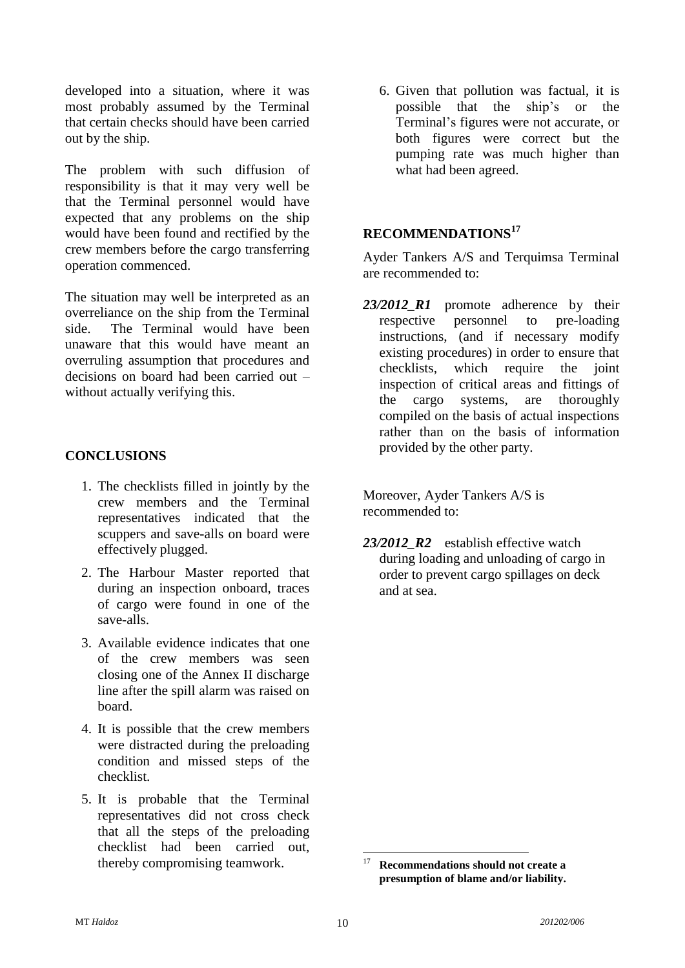developed into a situation, where it was most probably assumed by the Terminal that certain checks should have been carried out by the ship.

The problem with such diffusion of responsibility is that it may very well be that the Terminal personnel would have expected that any problems on the ship would have been found and rectified by the crew members before the cargo transferring operation commenced.

The situation may well be interpreted as an overreliance on the ship from the Terminal side. The Terminal would have been unaware that this would have meant an overruling assumption that procedures and decisions on board had been carried out – without actually verifying this.

#### **CONCLUSIONS**

- 1. The checklists filled in jointly by the crew members and the Terminal representatives indicated that the scuppers and save-alls on board were effectively plugged.
- 2. The Harbour Master reported that during an inspection onboard, traces of cargo were found in one of the save-alls.
- 3. Available evidence indicates that one of the crew members was seen closing one of the Annex II discharge line after the spill alarm was raised on board.
- 4. It is possible that the crew members were distracted during the preloading condition and missed steps of the checklist.
- 5. It is probable that the Terminal representatives did not cross check that all the steps of the preloading checklist had been carried out, thereby compromising teamwork.

6. Given that pollution was factual, it is possible that the ship"s or the Terminal"s figures were not accurate, or both figures were correct but the pumping rate was much higher than what had been agreed.

## **RECOMMENDATIONS<sup>17</sup>**

Ayder Tankers A/S and Terquimsa Terminal are recommended to:

*23/2012\_R1* promote adherence by their respective personnel to pre-loading instructions, (and if necessary modify existing procedures) in order to ensure that checklists, which require the joint inspection of critical areas and fittings of the cargo systems, are thoroughly compiled on the basis of actual inspections rather than on the basis of information provided by the other party.

Moreover, Ayder Tankers A/S is recommended to:

23/2012 R2 establish effective watch during loading and unloading of cargo in order to prevent cargo spillages on deck and at sea.

<sup>1</sup> <sup>17</sup> **Recommendations should not create a presumption of blame and/or liability.**